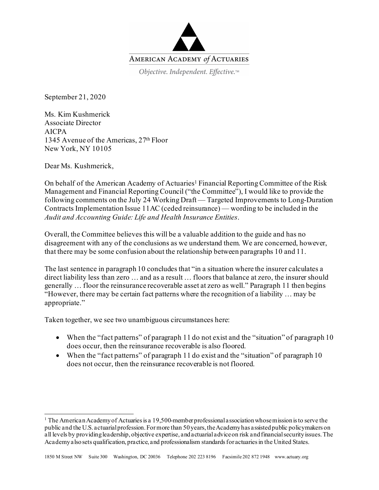

Objective. Independent. Effective.™

September 21, 2020

Ms. Kim Kushmerick Associate Director AICPA 1345 Avenue of the Americas, 27th Floor New York, NY 10105

Dear Ms. Kushmerick,

On behalf of the American Academy of Actuaries<sup>1</sup> Financial Reporting Committee of the Risk Management and Financial Reporting Council ("the Committee"), I would like to provide the following comments on the July 24 Working Draft — Targeted Improvements to Long-Duration Contracts Implementation Issue 11AC (ceded reinsurance) — wording to be included in the *Audit and Accounting Guide: Life and Health Insurance Entities*.

Overall, the Committee believes this will be a valuable addition to the guide and has no disagreement with any of the conclusions as we understand them. We are concerned, however, that there may be some confusion about the relationship between paragraphs 10 and 11.

The last sentence in paragraph 10 concludes that "in a situation where the insurer calculates a direct liability less than zero … and as a result … floors that balance at zero, the insurer should generally … floor the reinsurance recoverable asset at zero as well." Paragraph 11 then begins "However, there may be certain fact patterns where the recognition of a liability … may be appropriate."

Taken together, we see two unambiguous circumstances here:

- When the "fact patterns" of paragraph 11 do not exist and the "situation" of paragraph 10 does occur, then the reinsurance recoverable is also floored.
- When the "fact patterns" of paragraph 11 do exist and the "situation" of paragraph 10 does not occur, then the reinsurance recoverable is not floored.

<span id="page-0-0"></span><sup>&</sup>lt;sup>1</sup> The American Academy of Actuaries is a 19,500-member professional association whose mission is to serve the public and the U.S. actuarial profession. For more than 50 years, the Academy has assisted public policymakers on all levels by providing leadership, objective expertise, and actuarial advice on risk and financial security issues. The Academy also sets qualification, practice, and professionalism standards for actuaries in the United States.